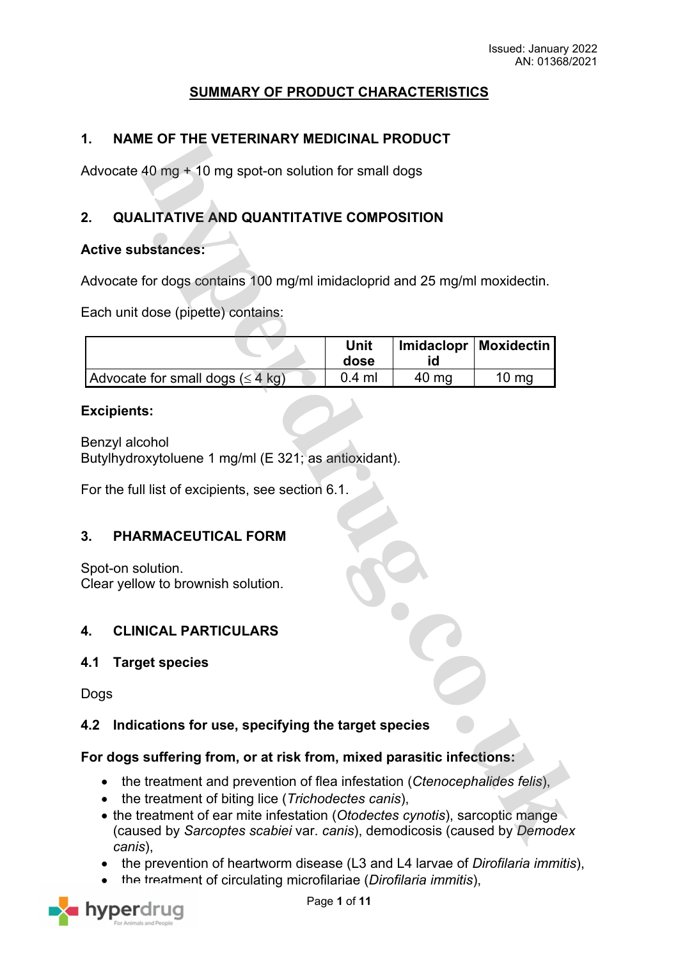## **SUMMARY OF PRODUCT CHARACTERISTICS**

## **1. NAME OF THE VETERINARY MEDICINAL PRODUCT**

Advocate 40 mg + 10 mg spot-on solution for small dogs

# **2. QUALITATIVE AND QUANTITATIVE COMPOSITION**

### **Active substances:**

Advocate for dogs contains 100 mg/ml imidacloprid and 25 mg/ml moxidectin.

Each unit dose (pipette) contains:

|                                               | Unit<br>dose |       | Imidaclopr   Moxidectin |
|-----------------------------------------------|--------------|-------|-------------------------|
| Advocate for small dogs $(\leq 4 \text{ kg})$ | $0.4$ ml     | 40 ma | $10 \text{ mg}$         |

#### **Excipients:**

Benzyl alcohol Butylhydroxytoluene 1 mg/ml (E 321; as antioxidant).

For the full list of excipients, see section 6.1.

#### **3. PHARMACEUTICAL FORM**

Spot-on solution. Clear yellow to brownish solution.

## **4. CLINICAL PARTICULARS**

#### **4.1 Target species**

**Dogs** 

## **4.2 Indications for use, specifying the target species**

#### **For dogs suffering from, or at risk from, mixed parasitic infections:**

- the treatment and prevention of flea infestation (*Ctenocephalides felis*),
- the treatment of biting lice (*Trichodectes canis*),
- the treatment of ear mite infestation (*Otodectes cynotis*), sarcoptic mange (caused by *Sarcoptes scabiei* var. *canis*), demodicosis (caused by *Demodex canis*),
- the prevention of heartworm disease (L3 and L4 larvae of *Dirofilaria immitis*),
- the treatment of circulating microfilariae (*Dirofilaria immitis*),

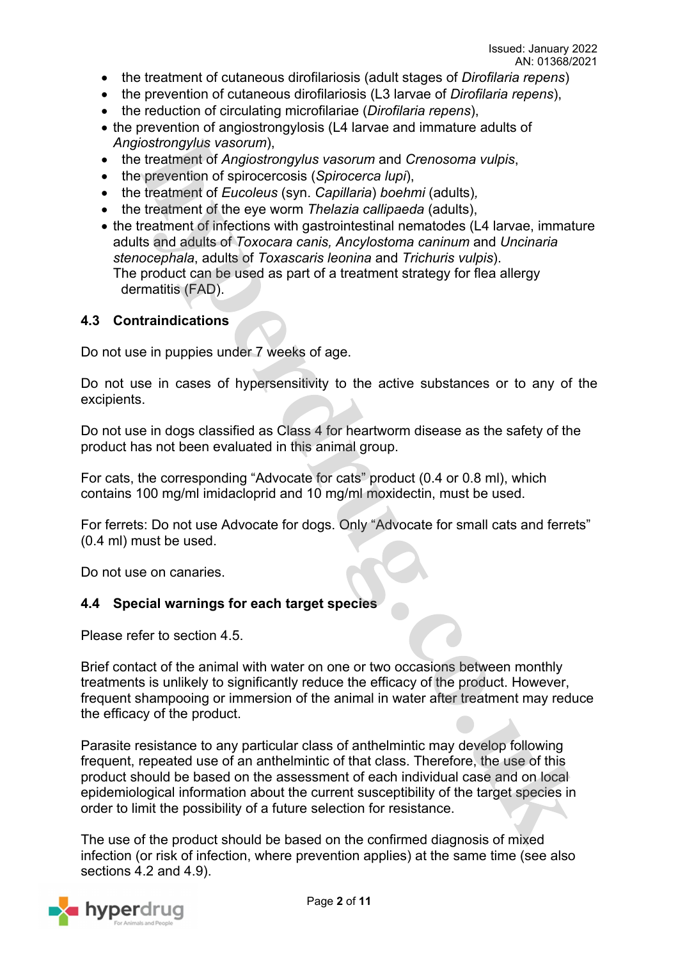- the treatment of cutaneous dirofilariosis (adult stages of *Dirofilaria repens*)
- the prevention of cutaneous dirofilariosis (L3 larvae of *Dirofilaria repens*),
- the reduction of circulating microfilariae (*Dirofilaria repens*),
- the prevention of angiostrongylosis (L4 larvae and immature adults of *Angiostrongylus vasorum*),
- the treatment of *Angiostrongylus vasorum* and *Crenosoma vulpis*,
- the prevention of spirocercosis (*Spirocerca lupi*),
- the treatment of *Eucoleus* (syn. *Capillaria*) *boehmi* (adults)*,*
- the treatment of the eye worm *Thelazia callipaeda* (adults),
- the treatment of infections with gastrointestinal nematodes (L4 larvae, immature adults and adults of *Toxocara canis, Ancylostoma caninum* and *Uncinaria stenocephala*, adults of *Toxascaris leonina* and *Trichuris vulpis*). The product can be used as part of a treatment strategy for flea allergy dermatitis (FAD).

#### **4.3 Contraindications**

Do not use in puppies under 7 weeks of age.

Do not use in cases of hypersensitivity to the active substances or to any of the excipients.

Do not use in dogs classified as Class 4 for heartworm disease as the safety of the product has not been evaluated in this animal group.

For cats, the corresponding "Advocate for cats" product (0.4 or 0.8 ml), which contains 100 mg/ml imidacloprid and 10 mg/ml moxidectin, must be used.

For ferrets: Do not use Advocate for dogs. Only "Advocate for small cats and ferrets" (0.4 ml) must be used.

Do not use on canaries.

#### **4.4 Special warnings for each target species**

Please refer to section 4.5.

Brief contact of the animal with water on one or two occasions between monthly treatments is unlikely to significantly reduce the efficacy of the product. However, frequent shampooing or immersion of the animal in water after treatment may reduce the efficacy of the product.

Parasite resistance to any particular class of anthelmintic may develop following frequent, repeated use of an anthelmintic of that class. Therefore, the use of this product should be based on the assessment of each individual case and on local epidemiological information about the current susceptibility of the target species in order to limit the possibility of a future selection for resistance.

The use of the product should be based on the confirmed diagnosis of mixed infection (or risk of infection, where prevention applies) at the same time (see also sections 4.2 and 4.9).

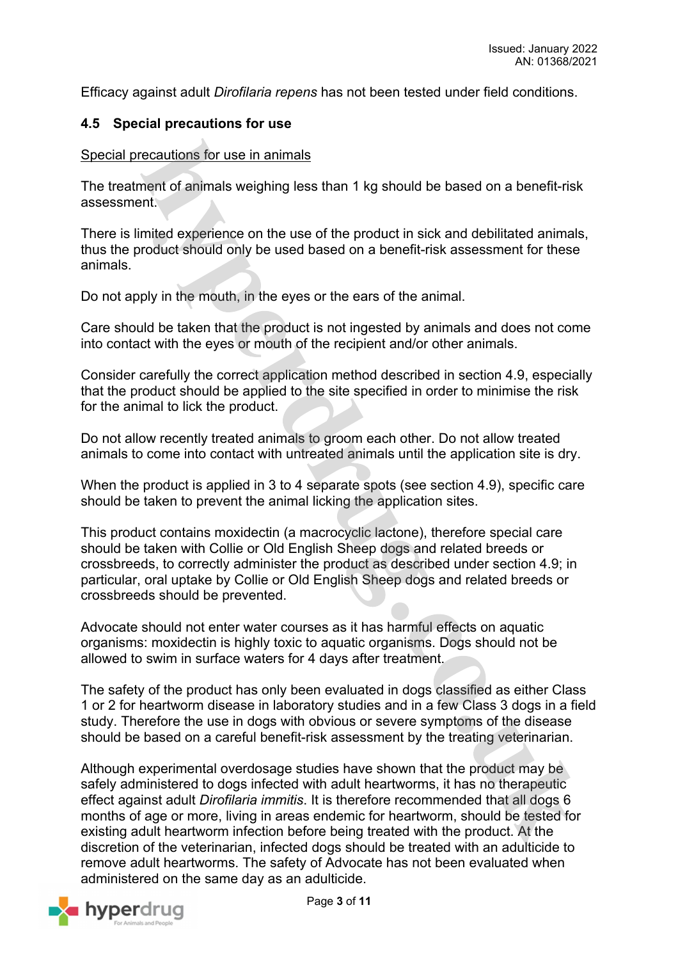Efficacy against adult *Dirofilaria repens* has not been tested under field conditions.

### **4.5 Special precautions for use**

#### Special precautions for use in animals

The treatment of animals weighing less than 1 kg should be based on a benefit-risk assessment.

There is limited experience on the use of the product in sick and debilitated animals, thus the product should only be used based on a benefit-risk assessment for these animals.

Do not apply in the mouth, in the eyes or the ears of the animal.

Care should be taken that the product is not ingested by animals and does not come into contact with the eyes or mouth of the recipient and/or other animals.

Consider carefully the correct application method described in section 4.9, especially that the product should be applied to the site specified in order to minimise the risk for the animal to lick the product.

Do not allow recently treated animals to groom each other. Do not allow treated animals to come into contact with untreated animals until the application site is dry.

When the product is applied in 3 to 4 separate spots (see section 4.9), specific care should be taken to prevent the animal licking the application sites.

This product contains moxidectin (a macrocyclic lactone), therefore special care should be taken with Collie or Old English Sheep dogs and related breeds or crossbreeds, to correctly administer the product as described under section 4.9; in particular, oral uptake by Collie or Old English Sheep dogs and related breeds or crossbreeds should be prevented.

Advocate should not enter water courses as it has harmful effects on aquatic organisms: moxidectin is highly toxic to aquatic organisms. Dogs should not be allowed to swim in surface waters for 4 days after treatment.

The safety of the product has only been evaluated in dogs classified as either Class 1 or 2 for heartworm disease in laboratory studies and in a few Class 3 dogs in a field study. Therefore the use in dogs with obvious or severe symptoms of the disease should be based on a careful benefit-risk assessment by the treating veterinarian.

Although experimental overdosage studies have shown that the product may be safely administered to dogs infected with adult heartworms, it has no therapeutic effect against adult *Dirofilaria immitis*. It is therefore recommended that all dogs 6 months of age or more, living in areas endemic for heartworm, should be tested for existing adult heartworm infection before being treated with the product. At the discretion of the veterinarian, infected dogs should be treated with an adulticide to remove adult heartworms. The safety of Advocate has not been evaluated when administered on the same day as an adulticide.

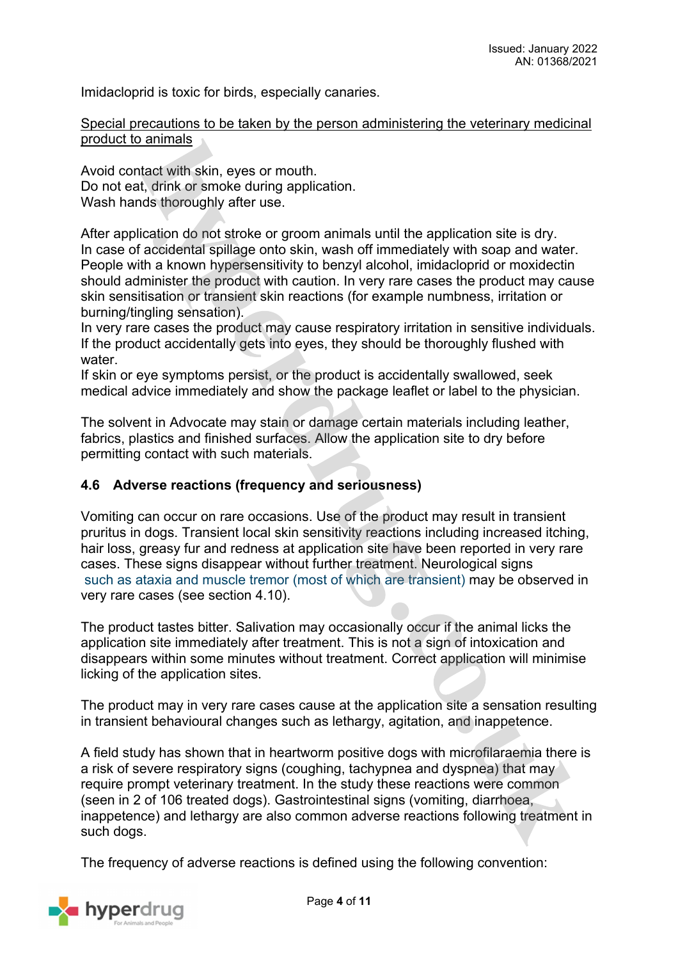Imidacloprid is toxic for birds, especially canaries.

#### Special precautions to be taken by the person administering the veterinary medicinal product to animals

Avoid contact with skin, eyes or mouth. Do not eat, drink or smoke during application. Wash hands thoroughly after use.

After application do not stroke or groom animals until the application site is dry. In case of accidental spillage onto skin, wash off immediately with soap and water. People with a known hypersensitivity to benzyl alcohol, imidacloprid or moxidectin should administer the product with caution. In very rare cases the product may cause skin sensitisation or transient skin reactions (for example numbness, irritation or burning/tingling sensation).

In very rare cases the product may cause respiratory irritation in sensitive individuals. If the product accidentally gets into eyes, they should be thoroughly flushed with water.

If skin or eye symptoms persist, or the product is accidentally swallowed, seek medical advice immediately and show the package leaflet or label to the physician.

The solvent in Advocate may stain or damage certain materials including leather, fabrics, plastics and finished surfaces. Allow the application site to dry before permitting contact with such materials.

#### **4.6 Adverse reactions (frequency and seriousness)**

Vomiting can occur on rare occasions. Use of the product may result in transient pruritus in dogs. Transient local skin sensitivity reactions including increased itching, hair loss, greasy fur and redness at application site have been reported in very rare cases. These signs disappear without further treatment. Neurological signs such as ataxia and muscle tremor (most of which are transient) may be observed in very rare cases (see section 4.10).

The product tastes bitter. Salivation may occasionally occur if the animal licks the application site immediately after treatment. This is not a sign of intoxication and disappears within some minutes without treatment. Correct application will minimise licking of the application sites.

The product may in very rare cases cause at the application site a sensation resulting in transient behavioural changes such as lethargy, agitation, and inappetence.

A field study has shown that in heartworm positive dogs with microfilaraemia there is a risk of severe respiratory signs (coughing, tachypnea and dyspnea) that may require prompt veterinary treatment. In the study these reactions were common (seen in 2 of 106 treated dogs). Gastrointestinal signs (vomiting, diarrhoea, inappetence) and lethargy are also common adverse reactions following treatment in such dogs.

The frequency of adverse reactions is defined using the following convention:

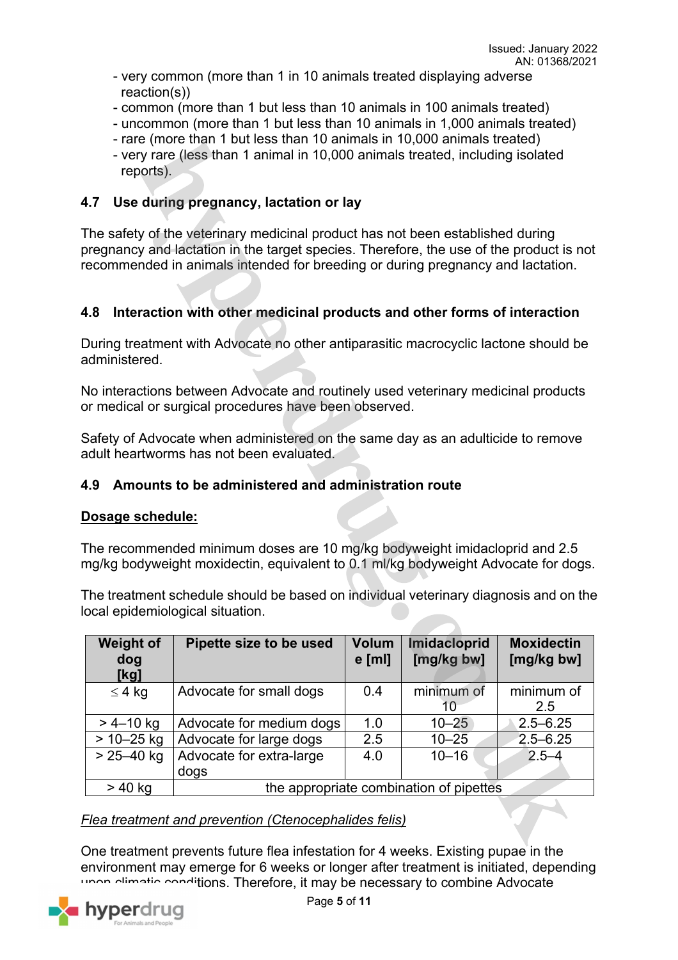- very common (more than 1 in 10 animals treated displaying adverse reaction(s))
- common (more than 1 but less than 10 animals in 100 animals treated)
- uncommon (more than 1 but less than 10 animals in 1,000 animals treated)
- rare (more than 1 but less than 10 animals in 10,000 animals treated)
- very rare (less than 1 animal in 10,000 animals treated, including isolated reports).

## **4.7 Use during pregnancy, lactation or lay**

The safety of the veterinary medicinal product has not been established during pregnancy and lactation in the target species. Therefore, the use of the product is not recommended in animals intended for breeding or during pregnancy and lactation.

## **4.8 Interaction with other medicinal products and other forms of interaction**

During treatment with Advocate no other antiparasitic macrocyclic lactone should be administered.

No interactions between Advocate and routinely used veterinary medicinal products or medical or surgical procedures have been observed.

Safety of Advocate when administered on the same day as an adulticide to remove adult heartworms has not been evaluated.

### **4.9 Amounts to be administered and administration route**

#### **Dosage schedule:**

The recommended minimum doses are 10 mg/kg bodyweight imidacloprid and 2.5 mg/kg bodyweight moxidectin, equivalent to 0.1 ml/kg bodyweight Advocate for dogs.

The treatment schedule should be based on individual veterinary diagnosis and on the local epidemiological situation.

| <b>Weight of</b><br>dog<br>[kg] | Pipette size to be used                 | <b>Volum</b><br>$e$ [ml] | Imidacloprid<br>[mg/kg bw] | <b>Moxidectin</b><br>[mg/kg bw] |  |
|---------------------------------|-----------------------------------------|--------------------------|----------------------------|---------------------------------|--|
| $\leq 4$ kg                     | Advocate for small dogs                 | 0.4                      | minimum of                 | minimum of                      |  |
|                                 |                                         |                          |                            | 2.5                             |  |
| $> 4 - 10$ kg                   | Advocate for medium dogs                | 1.0                      | $10 - 25$                  | $2.5 - 6.25$                    |  |
| $> 10 - 25$ kg                  | Advocate for large dogs                 | 2.5                      | $10 - 25$                  | $2.5 - 6.25$                    |  |
| $> 25 - 40$ kg                  | Advocate for extra-large                | 4.0                      | $10 - 16$                  | $2.5 - 4$                       |  |
|                                 | dogs                                    |                          |                            |                                 |  |
| $>$ 40 kg                       | the appropriate combination of pipettes |                          |                            |                                 |  |

*Flea treatment and prevention (Ctenocephalides felis)*

One treatment prevents future flea infestation for 4 weeks. Existing pupae in the environment may emerge for 6 weeks or longer after treatment is initiated, depending upon climatic conditions. Therefore, it may be necessary to combine Advocate

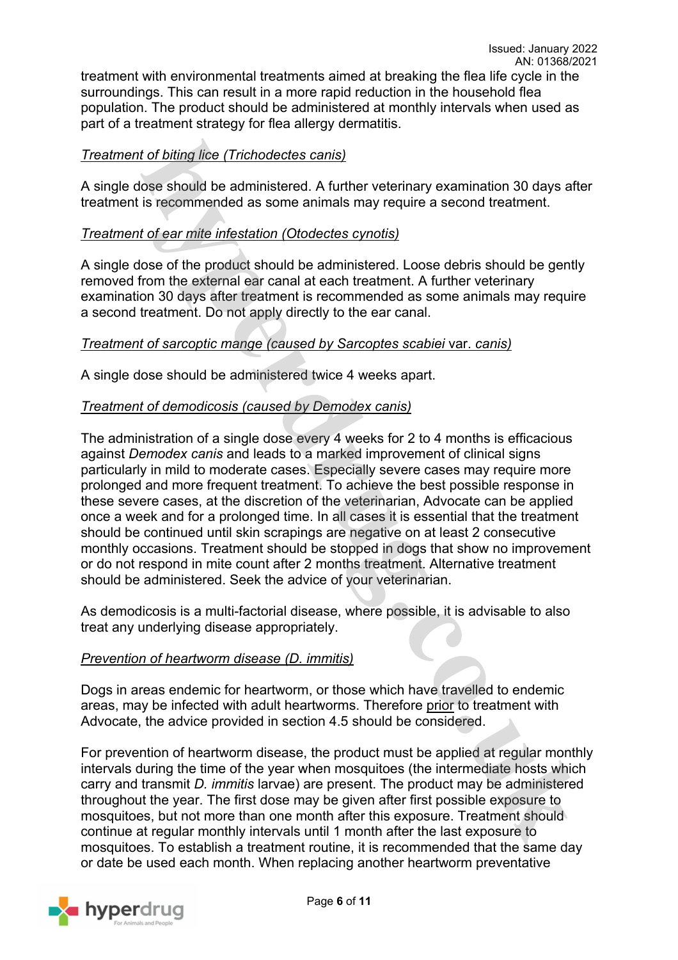treatment with environmental treatments aimed at breaking the flea life cycle in the surroundings. This can result in a more rapid reduction in the household flea population. The product should be administered at monthly intervals when used as part of a treatment strategy for flea allergy dermatitis.

### *Treatment of biting lice (Trichodectes canis)*

A single dose should be administered. A further veterinary examination 30 days after treatment is recommended as some animals may require a second treatment.

### *Treatment of ear mite infestation (Otodectes cynotis)*

A single dose of the product should be administered. Loose debris should be gently removed from the external ear canal at each treatment. A further veterinary examination 30 days after treatment is recommended as some animals may require a second treatment. Do not apply directly to the ear canal.

#### *Treatment of sarcoptic mange (caused by Sarcoptes scabiei* var. *canis)*

A single dose should be administered twice 4 weeks apart.

#### *Treatment of demodicosis (caused by Demodex canis)*

The administration of a single dose every 4 weeks for 2 to 4 months is efficacious against *Demodex canis* and leads to a marked improvement of clinical signs particularly in mild to moderate cases. Especially severe cases may require more prolonged and more frequent treatment. To achieve the best possible response in these severe cases, at the discretion of the veterinarian, Advocate can be applied once a week and for a prolonged time. In all cases it is essential that the treatment should be continued until skin scrapings are negative on at least 2 consecutive monthly occasions. Treatment should be stopped in dogs that show no improvement or do not respond in mite count after 2 months treatment. Alternative treatment should be administered. Seek the advice of your veterinarian.

As demodicosis is a multi-factorial disease, where possible, it is advisable to also treat any underlying disease appropriately.

#### *Prevention of heartworm disease (D. immitis)*

Dogs in areas endemic for heartworm, or those which have travelled to endemic areas, may be infected with adult heartworms. Therefore prior to treatment with Advocate, the advice provided in section 4.5 should be considered.

For prevention of heartworm disease, the product must be applied at regular monthly intervals during the time of the year when mosquitoes (the intermediate hosts which carry and transmit *D. immitis* larvae) are present. The product may be administered throughout the year. The first dose may be given after first possible exposure to mosquitoes, but not more than one month after this exposure. Treatment should continue at regular monthly intervals until 1 month after the last exposure to mosquitoes. To establish a treatment routine, it is recommended that the same day or date be used each month. When replacing another heartworm preventative

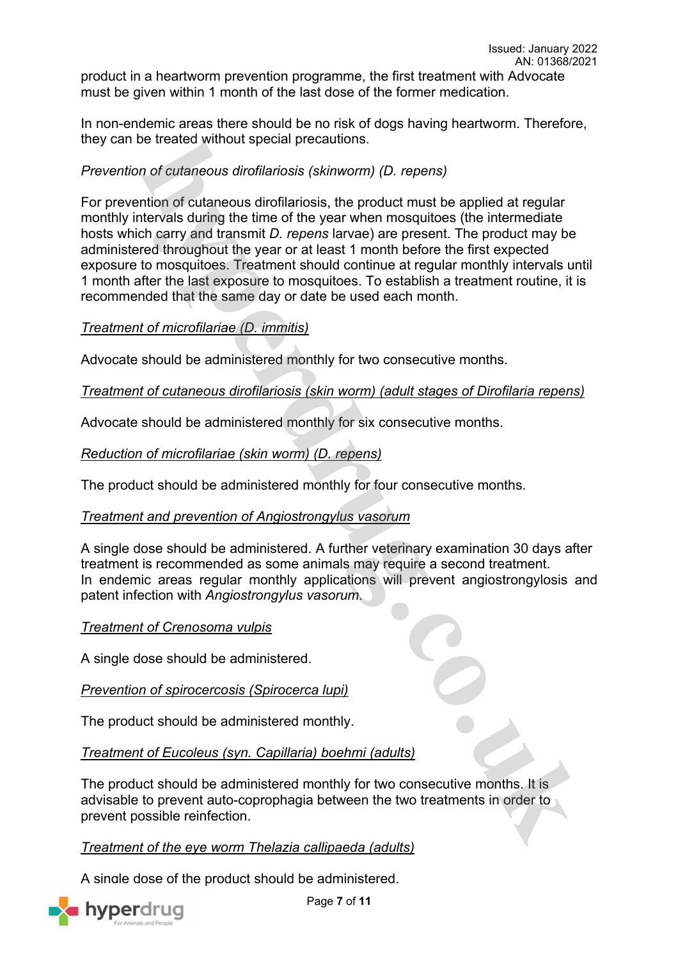product in a heartworm prevention programme, the first treatment with Advocate must be given within 1 month of the last dose of the former medication.

In non-endemic areas there should be no risk of dogs having heartworm. Therefore, they can be treated without special precautions.

### *Prevention of cutaneous dirofilariosis (skinworm) (D. repens)*

For prevention of cutaneous dirofilariosis, the product must be applied at regular monthly intervals during the time of the year when mosquitoes (the intermediate hosts which carry and transmit *D. repens* larvae) are present. The product may be administered throughout the year or at least 1 month before the first expected exposure to mosquitoes. Treatment should continue at regular monthly intervals until 1 month after the last exposure to mosquitoes. To establish a treatment routine, it is recommended that the same day or date be used each month.

### *Treatment of microfilariae (D. immitis)*

Advocate should be administered monthly for two consecutive months.

#### *Treatment of cutaneous dirofilariosis (skin worm) (adult stages of Dirofilaria repens)*

Advocate should be administered monthly for six consecutive months.

*Reduction of microfilariae (skin worm) (D. repens)*

The product should be administered monthly for four consecutive months.

#### *Treatment and prevention of Angiostrongylus vasorum*

A single dose should be administered. A further veterinary examination 30 days after treatment is recommended as some animals may require a second treatment. In endemic areas regular monthly applications will prevent angiostrongylosis and patent infection with *Angiostrongylus vasorum*.

#### *Treatment of Crenosoma vulpis*

A single dose should be administered.

#### *Prevention of spirocercosis (Spirocerca lupi)*

The product should be administered monthly.

*Treatment of Eucoleus (syn. Capillaria) boehmi (adults)*

The product should be administered monthly for two consecutive months. It is advisable to prevent auto-coprophagia between the two treatments in order to prevent possible reinfection.

#### *Treatment of the eye worm Thelazia callipaeda (adults)*

A single dose of the product should be administered.



Page **7** of **11**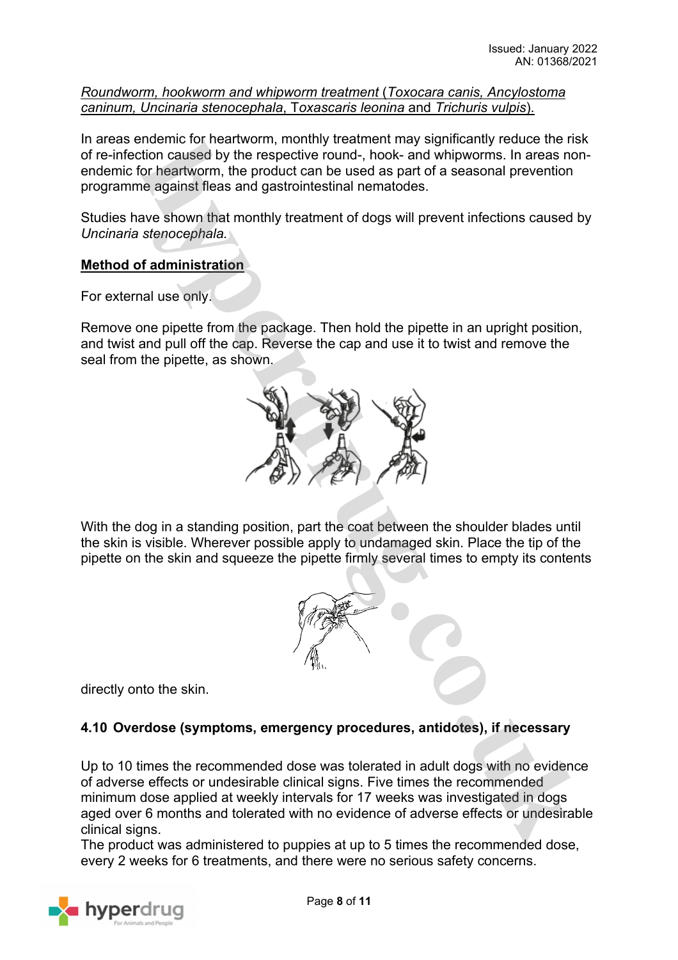*Roundworm, hookworm and whipworm treatment* (*Toxocara canis, Ancylostoma caninum, Uncinaria stenocephala*, T*oxascaris leonina* and *Trichuris vulpis*).

In areas endemic for heartworm, monthly treatment may significantly reduce the risk of re-infection caused by the respective round-, hook- and whipworms. In areas nonendemic for heartworm, the product can be used as part of a seasonal prevention programme against fleas and gastrointestinal nematodes.

Studies have shown that monthly treatment of dogs will prevent infections caused by *Uncinaria stenocephala.*

### **Method of administration**

For external use only.

Remove one pipette from the package. Then hold the pipette in an upright position, and twist and pull off the cap. Reverse the cap and use it to twist and remove the seal from the pipette, as shown.



With the dog in a standing position, part the coat between the shoulder blades until the skin is visible. Wherever possible apply to undamaged skin. Place the tip of the pipette on the skin and squeeze the pipette firmly several times to empty its contents



directly onto the skin.

## **4.10 Overdose (symptoms, emergency procedures, antidotes), if necessary**

Up to 10 times the recommended dose was tolerated in adult dogs with no evidence of adverse effects or undesirable clinical signs. Five times the recommended minimum dose applied at weekly intervals for 17 weeks was investigated in dogs aged over 6 months and tolerated with no evidence of adverse effects or undesirable clinical signs.

The product was administered to puppies at up to 5 times the recommended dose, every 2 weeks for 6 treatments, and there were no serious safety concerns.

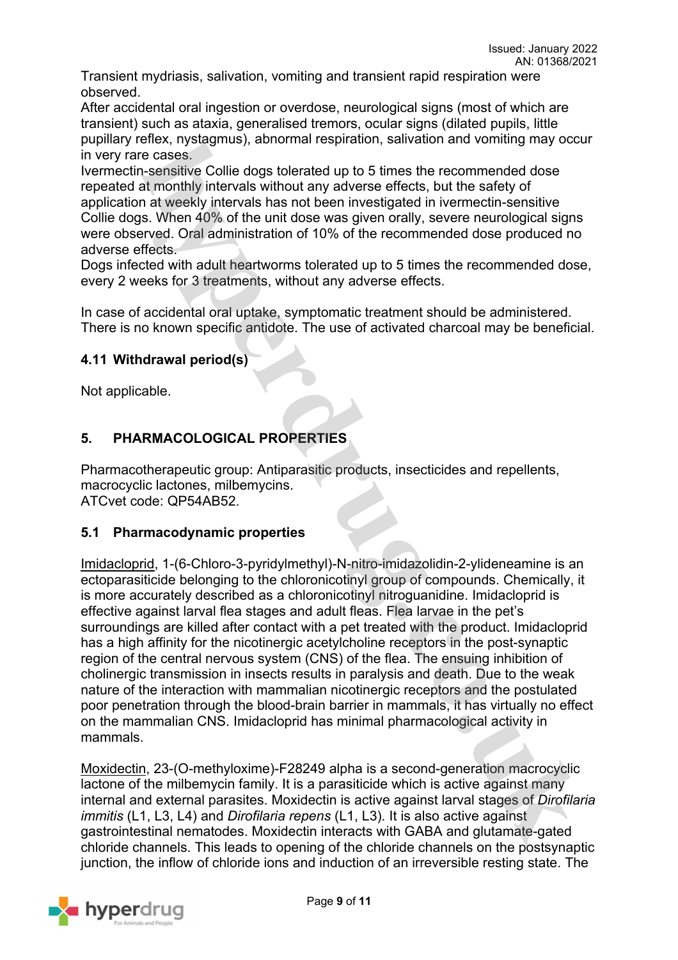Transient mydriasis, salivation, vomiting and transient rapid respiration were observed.

After accidental oral ingestion or overdose, neurological signs (most of which are transient) such as ataxia, generalised tremors, ocular signs (dilated pupils, little pupillary reflex, nystagmus), abnormal respiration, salivation and vomiting may occur in very rare cases.

Ivermectin-sensitive Collie dogs tolerated up to 5 times the recommended dose repeated at monthly intervals without any adverse effects, but the safety of application at weekly intervals has not been investigated in ivermectin-sensitive Collie dogs. When 40% of the unit dose was given orally, severe neurological signs were observed. Oral administration of 10% of the recommended dose produced no adverse effects.

Dogs infected with adult heartworms tolerated up to 5 times the recommended dose, every 2 weeks for 3 treatments, without any adverse effects.

In case of accidental oral uptake, symptomatic treatment should be administered. There is no known specific antidote. The use of activated charcoal may be beneficial.

### **4.11 Withdrawal period(s)**

Not applicable.

## **5. PHARMACOLOGICAL PROPERTIES**

Pharmacotherapeutic group: Antiparasitic products, insecticides and repellents, macrocyclic lactones, milbemycins. ATCvet code: QP54AB52.

#### **5.1 Pharmacodynamic properties**

Imidacloprid, 1-(6-Chloro-3-pyridylmethyl)-N-nitro-imidazolidin-2-ylideneamine is an ectoparasiticide belonging to the chloronicotinyl group of compounds. Chemically, it is more accurately described as a chloronicotinyl nitroguanidine. Imidacloprid is effective against larval flea stages and adult fleas. Flea larvae in the pet's surroundings are killed after contact with a pet treated with the product. Imidacloprid has a high affinity for the nicotinergic acetylcholine receptors in the post-synaptic region of the central nervous system (CNS) of the flea. The ensuing inhibition of cholinergic transmission in insects results in paralysis and death. Due to the weak nature of the interaction with mammalian nicotinergic receptors and the postulated poor penetration through the blood-brain barrier in mammals, it has virtually no effect on the mammalian CNS. Imidacloprid has minimal pharmacological activity in mammals.

Moxidectin, 23-(O-methyloxime)-F28249 alpha is a second-generation macrocyclic lactone of the milbemycin family. It is a parasiticide which is active against many internal and external parasites. Moxidectin is active against larval stages of *Dirofilaria immitis* (L1, L3, L4) and *Dirofilaria repens* (L1, L3)*.* It is also active against gastrointestinal nematodes. Moxidectin interacts with GABA and glutamate-gated chloride channels. This leads to opening of the chloride channels on the postsynaptic junction, the inflow of chloride ions and induction of an irreversible resting state. The

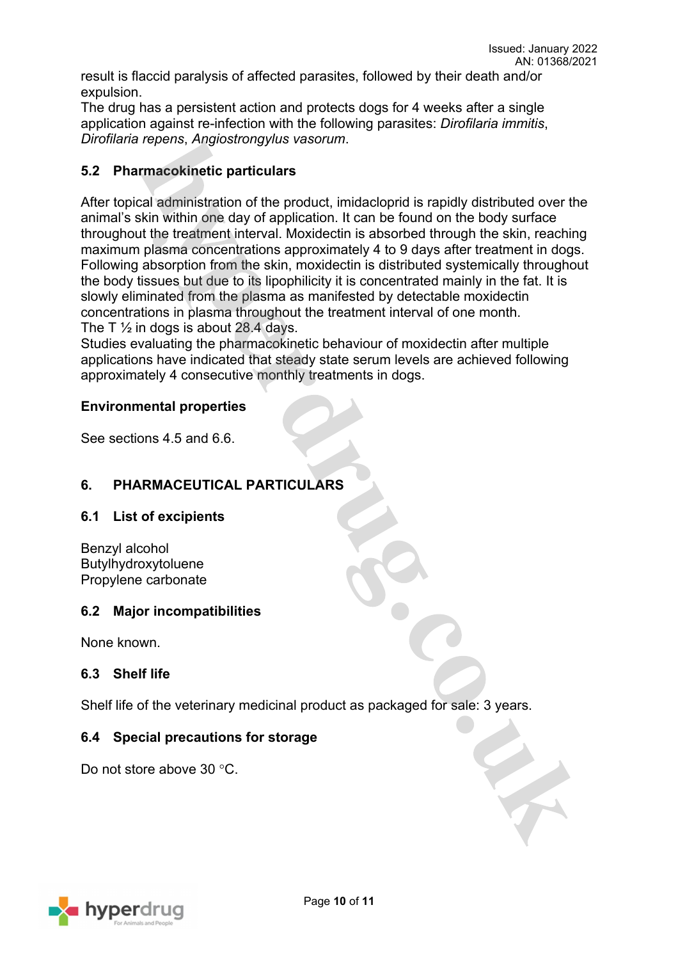result is flaccid paralysis of affected parasites, followed by their death and/or expulsion.

The drug has a persistent action and protects dogs for 4 weeks after a single application against re-infection with the following parasites: *Dirofilaria immitis*, *Dirofilaria repens*, *Angiostrongylus vasorum*.

### **5.2 Pharmacokinetic particulars**

After topical administration of the product, imidacloprid is rapidly distributed over the animal's skin within one day of application. It can be found on the body surface throughout the treatment interval. Moxidectin is absorbed through the skin, reaching maximum plasma concentrations approximately 4 to 9 days after treatment in dogs. Following absorption from the skin, moxidectin is distributed systemically throughout the body tissues but due to its lipophilicity it is concentrated mainly in the fat. It is slowly eliminated from the plasma as manifested by detectable moxidectin concentrations in plasma throughout the treatment interval of one month. The T  $\frac{1}{2}$  in dogs is about 28.4 days.

Studies evaluating the pharmacokinetic behaviour of moxidectin after multiple applications have indicated that steady state serum levels are achieved following approximately 4 consecutive monthly treatments in dogs.

#### **Environmental properties**

See sections 4.5 and 6.6.

## **6. PHARMACEUTICAL PARTICULARS**

#### **6.1 List of excipients**

Benzyl alcohol Butylhydroxytoluene Propylene carbonate

#### **6.2 Major incompatibilities**

None known.

#### **6.3 Shelf life**

Shelf life of the veterinary medicinal product as packaged for sale: 3 years.

#### **6.4 Special precautions for storage**

Do not store above 30 °C.